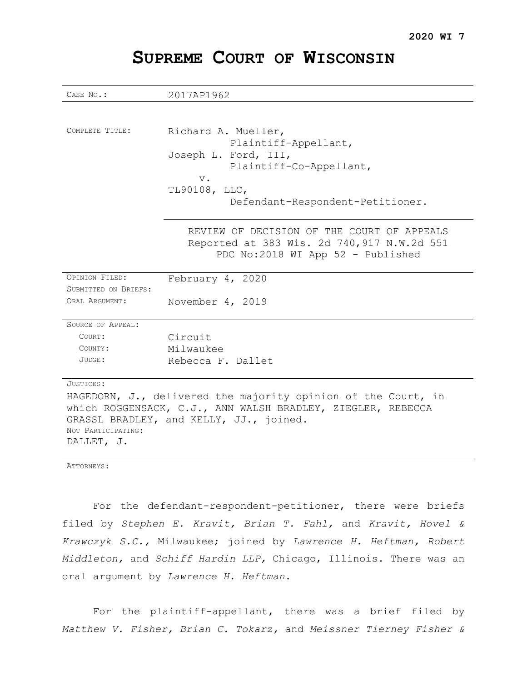| CASE NO.:                                                     | 2017AP1962                                  |
|---------------------------------------------------------------|---------------------------------------------|
|                                                               |                                             |
| COMPLETE TITLE:                                               |                                             |
|                                                               | Richard A. Mueller,                         |
|                                                               | Plaintiff-Appellant,                        |
|                                                               | Joseph L. Ford, III,                        |
|                                                               | Plaintiff-Co-Appellant,                     |
|                                                               | $V$ .<br>TL90108, LLC,                      |
|                                                               |                                             |
|                                                               | Defendant-Respondent-Petitioner.            |
|                                                               |                                             |
|                                                               | REVIEW OF DECISION OF THE COURT OF APPEALS  |
|                                                               | Reported at 383 Wis. 2d 740, 917 N.W.2d 551 |
|                                                               | PDC No:2018 WI App 52 - Published           |
| OPINION FILED:                                                |                                             |
|                                                               | February 4, 2020                            |
| SUBMITTED ON BRIEFS:                                          |                                             |
| ORAL ARGUMENT:                                                | November 4, 2019                            |
| SOURCE OF APPEAL:                                             |                                             |
| COURT:                                                        | Circuit                                     |
| COUNTY:                                                       | Milwaukee                                   |
| JUDGE:                                                        | Rebecca F. Dallet                           |
|                                                               |                                             |
| JUSTICES:                                                     |                                             |
| HAGEDORN, J., delivered the majority opinion of the Court, in |                                             |
| which ROGGENSACK, C.J., ANN WALSH BRADLEY, ZIEGLER, REBECCA   |                                             |
| GRASSL BRADLEY, and KELLY, JJ., joined.                       |                                             |
| NOT PARTICIPATING:                                            |                                             |
| DALLET, J.                                                    |                                             |
|                                                               |                                             |

# **SUPREME COURT OF WISCONSIN**

ATTORNEYS:

For the defendant-respondent-petitioner, there were briefs filed by *Stephen E. Kravit, Brian T. Fahl,* and *Kravit, Hovel & Krawczyk S.C.,* Milwaukee; joined by *Lawrence H. Heftman, Robert Middleton,* and *Schiff Hardin LLP,* Chicago, Illinois. There was an oral argument by *Lawrence H. Heftman*.

For the plaintiff-appellant, there was a brief filed by *Matthew V. Fisher, Brian C. Tokarz,* and *Meissner Tierney Fisher &*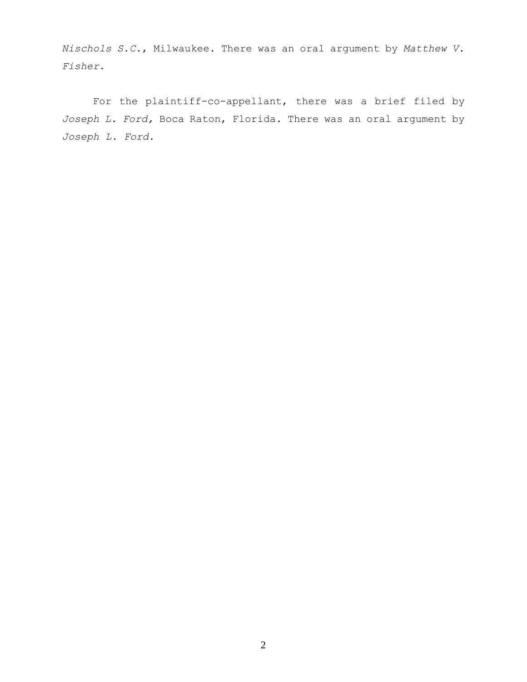*Nischols S.C.*, Milwaukee. There was an oral argument by *Matthew V. Fisher*.

For the plaintiff-co-appellant, there was a brief filed by *Joseph L. Ford,* Boca Raton, Florida. There was an oral argument by *Joseph L. Ford*.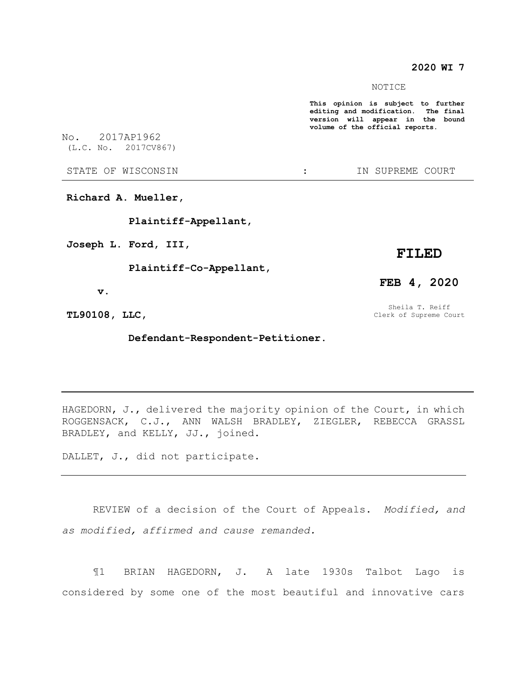# **2020 WI 7**

NOTICE

**This opinion is subject to further editing and modification. The final version will appear in the bound volume of the official reports.** 

No. 2017AP1962

(L.C. No. 2017CV867)

STATE OF WISCONSIN  $\cdot$  : IN SUPREME COURT

**Richard A. Mueller,**

 **Plaintiff-Appellant,**

**Joseph L. Ford, III,**

 **Plaintiff-Co-Appellant,**

# **FILED**

 **v.**

**TL90108, LLC,**

 **Defendant-Respondent-Petitioner.**

HAGEDORN, J., delivered the majority opinion of the Court, in which ROGGENSACK, C.J., ANN WALSH BRADLEY, ZIEGLER, REBECCA GRASSL BRADLEY, and KELLY, JJ., joined.

DALLET, J., did not participate.

REVIEW of a decision of the Court of Appeals. *Modified, and as modified, affirmed and cause remanded.*

¶1 BRIAN HAGEDORN, J. A late 1930s Talbot Lago is considered by some one of the most beautiful and innovative cars

**FEB 4, 2020**

Sheila T. Reiff Clerk of Supreme Court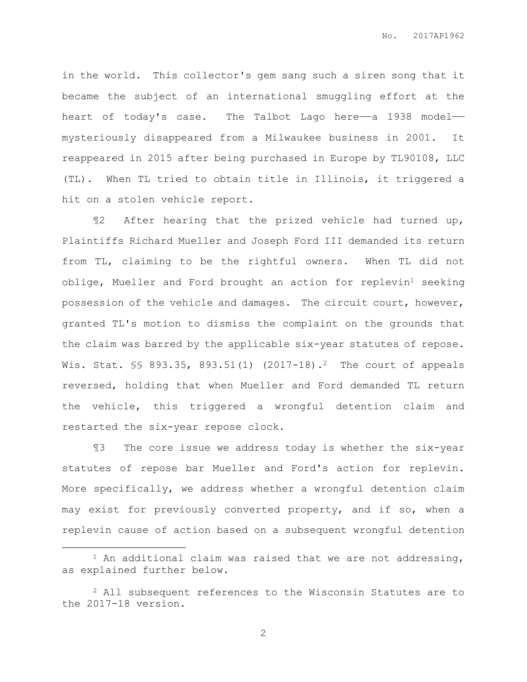in the world. This collector's gem sang such a siren song that it became the subject of an international smuggling effort at the heart of today's case. The Talbot Lago here—a 1938 model mysteriously disappeared from a Milwaukee business in 2001. It reappeared in 2015 after being purchased in Europe by TL90108, LLC (TL). When TL tried to obtain title in Illinois, it triggered a hit on a stolen vehicle report.

¶2 After hearing that the prized vehicle had turned up, Plaintiffs Richard Mueller and Joseph Ford III demanded its return from TL, claiming to be the rightful owners. When TL did not  $oblige, Mueller and Ford brought an action for replevin<sup>1</sup> seeking$ possession of the vehicle and damages. The circuit court, however, granted TL's motion to dismiss the complaint on the grounds that the claim was barred by the applicable six-year statutes of repose. Wis. Stat. §§ 893.35, 893.51(1) (2017-18).<sup>2</sup> The court of appeals reversed, holding that when Mueller and Ford demanded TL return the vehicle, this triggered a wrongful detention claim and restarted the six-year repose clock.

¶3 The core issue we address today is whether the six-year statutes of repose bar Mueller and Ford's action for replevin. More specifically, we address whether a wrongful detention claim may exist for previously converted property, and if so, when a replevin cause of action based on a subsequent wrongful detention

 $\overline{a}$ 

<sup>&</sup>lt;sup>1</sup> An additional claim was raised that we are not addressing, as explained further below.

<sup>2</sup> All subsequent references to the Wisconsin Statutes are to the 2017-18 version.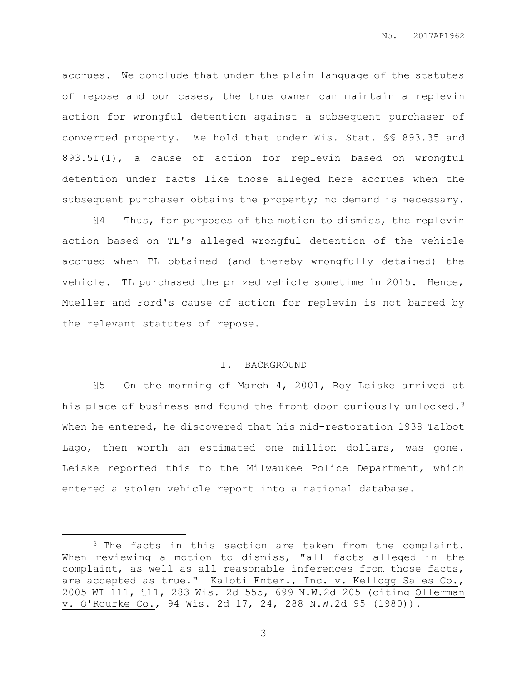accrues. We conclude that under the plain language of the statutes of repose and our cases, the true owner can maintain a replevin action for wrongful detention against a subsequent purchaser of converted property. We hold that under Wis. Stat. §§ 893.35 and 893.51(1), a cause of action for replevin based on wrongful detention under facts like those alleged here accrues when the subsequent purchaser obtains the property; no demand is necessary.

¶4 Thus, for purposes of the motion to dismiss, the replevin action based on TL's alleged wrongful detention of the vehicle accrued when TL obtained (and thereby wrongfully detained) the vehicle. TL purchased the prized vehicle sometime in 2015. Hence, Mueller and Ford's cause of action for replevin is not barred by the relevant statutes of repose.

## I. BACKGROUND

¶5 On the morning of March 4, 2001, Roy Leiske arrived at his place of business and found the front door curiously unlocked.<sup>3</sup> When he entered, he discovered that his mid-restoration 1938 Talbot Lago, then worth an estimated one million dollars, was gone. Leiske reported this to the Milwaukee Police Department, which entered a stolen vehicle report into a national database.

 $\overline{a}$ 

<sup>&</sup>lt;sup>3</sup> The facts in this section are taken from the complaint. When reviewing a motion to dismiss, "all facts alleged in the complaint, as well as all reasonable inferences from those facts, are accepted as true." Kaloti Enter., Inc. v. Kellogg Sales Co., 2005 WI 111, ¶11, 283 Wis. 2d 555, 699 N.W.2d 205 (citing Ollerman v. O'Rourke Co., 94 Wis. 2d 17, 24, 288 N.W.2d 95 (1980)).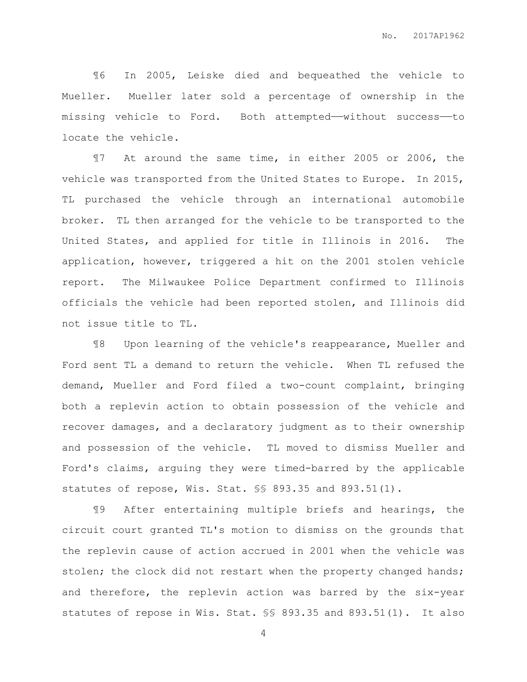¶6 In 2005, Leiske died and bequeathed the vehicle to Mueller. Mueller later sold a percentage of ownership in the missing vehicle to Ford. Both attempted—without success—to locate the vehicle.

¶7 At around the same time, in either 2005 or 2006, the vehicle was transported from the United States to Europe. In 2015, TL purchased the vehicle through an international automobile broker. TL then arranged for the vehicle to be transported to the United States, and applied for title in Illinois in 2016. The application, however, triggered a hit on the 2001 stolen vehicle report. The Milwaukee Police Department confirmed to Illinois officials the vehicle had been reported stolen, and Illinois did not issue title to TL.

¶8 Upon learning of the vehicle's reappearance, Mueller and Ford sent TL a demand to return the vehicle. When TL refused the demand, Mueller and Ford filed a two-count complaint, bringing both a replevin action to obtain possession of the vehicle and recover damages, and a declaratory judgment as to their ownership and possession of the vehicle. TL moved to dismiss Mueller and Ford's claims, arguing they were timed-barred by the applicable statutes of repose, Wis. Stat. §§ 893.35 and 893.51(1).

¶9 After entertaining multiple briefs and hearings, the circuit court granted TL's motion to dismiss on the grounds that the replevin cause of action accrued in 2001 when the vehicle was stolen; the clock did not restart when the property changed hands; and therefore, the replevin action was barred by the six-year statutes of repose in Wis. Stat. §§ 893.35 and 893.51(1). It also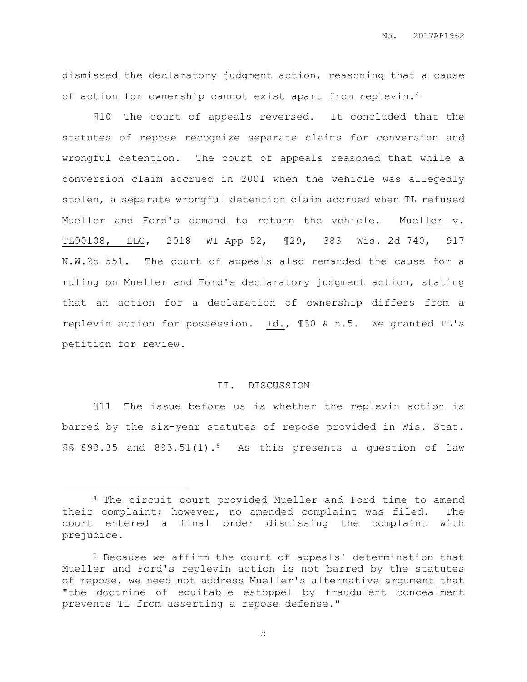dismissed the declaratory judgment action, reasoning that a cause of action for ownership cannot exist apart from replevin.<sup>4</sup>

¶10 The court of appeals reversed. It concluded that the statutes of repose recognize separate claims for conversion and wrongful detention. The court of appeals reasoned that while a conversion claim accrued in 2001 when the vehicle was allegedly stolen, a separate wrongful detention claim accrued when TL refused Mueller and Ford's demand to return the vehicle. Mueller v. TL90108, LLC, 2018 WI App 52, ¶29, 383 Wis. 2d 740, 917 N.W.2d 551. The court of appeals also remanded the cause for a ruling on Mueller and Ford's declaratory judgment action, stating that an action for a declaration of ownership differs from a replevin action for possession. Id., ¶30 & n.5. We granted TL's petition for review.

#### II. DISCUSSION

¶11 The issue before us is whether the replevin action is barred by the six-year statutes of repose provided in Wis. Stat.  $$8$  893.35 and 893.51(1).<sup>5</sup> As this presents a question of law

 $\overline{a}$ 

<sup>4</sup> The circuit court provided Mueller and Ford time to amend their complaint; however, no amended complaint was filed. The court entered a final order dismissing the complaint with prejudice.

<sup>5</sup> Because we affirm the court of appeals' determination that Mueller and Ford's replevin action is not barred by the statutes of repose, we need not address Mueller's alternative argument that "the doctrine of equitable estoppel by fraudulent concealment prevents TL from asserting a repose defense."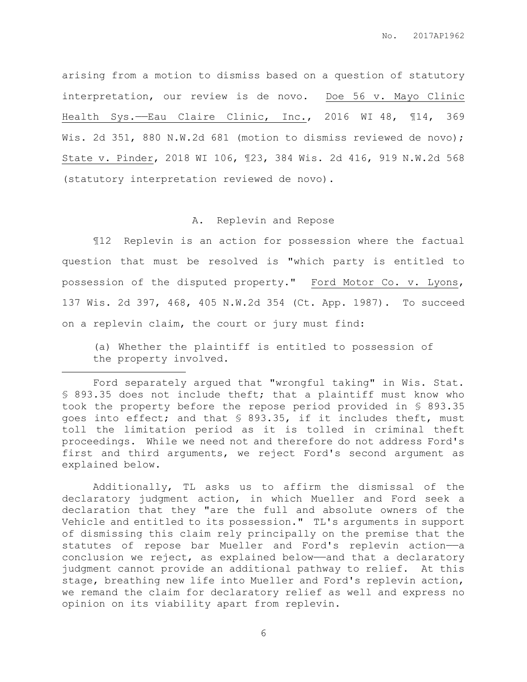arising from a motion to dismiss based on a question of statutory interpretation, our review is de novo. Doe 56 v. Mayo Clinic Health Sys.——Eau Claire Clinic, Inc., 2016 WI 48, ¶14, 369 Wis. 2d 351, 880 N.W.2d 681 (motion to dismiss reviewed de novo); State v. Pinder, 2018 WI 106, ¶23, 384 Wis. 2d 416, 919 N.W.2d 568 (statutory interpretation reviewed de novo).

#### A. Replevin and Repose

¶12 Replevin is an action for possession where the factual question that must be resolved is "which party is entitled to possession of the disputed property." Ford Motor Co. v. Lyons, 137 Wis. 2d 397, 468, 405 N.W.2d 354 (Ct. App. 1987). To succeed on a replevin claim, the court or jury must find:

(a) Whether the plaintiff is entitled to possession of the property involved.

 $\overline{a}$ 

Additionally, TL asks us to affirm the dismissal of the declaratory judgment action, in which Mueller and Ford seek a declaration that they "are the full and absolute owners of the Vehicle and entitled to its possession." TL's arguments in support of dismissing this claim rely principally on the premise that the statutes of repose bar Mueller and Ford's replevin action-a conclusion we reject, as explained below—and that a declaratory judgment cannot provide an additional pathway to relief. At this stage, breathing new life into Mueller and Ford's replevin action, we remand the claim for declaratory relief as well and express no opinion on its viability apart from replevin.

Ford separately argued that "wrongful taking" in Wis. Stat. § 893.35 does not include theft; that a plaintiff must know who took the property before the repose period provided in § 893.35 goes into effect; and that § 893.35, if it includes theft, must toll the limitation period as it is tolled in criminal theft proceedings. While we need not and therefore do not address Ford's first and third arguments, we reject Ford's second argument as explained below.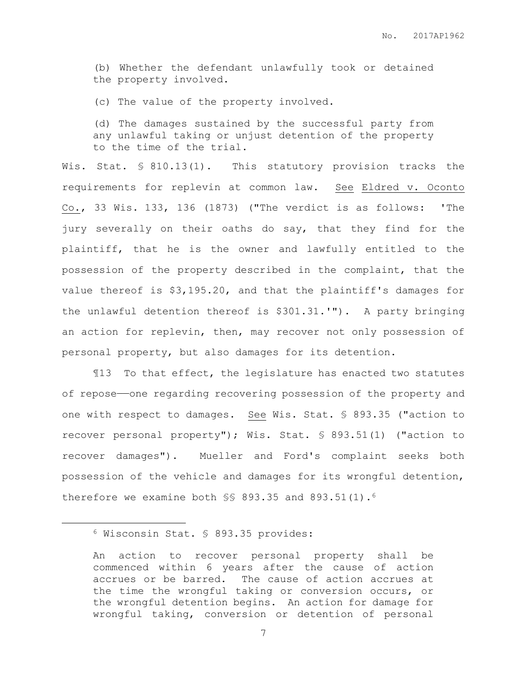(b) Whether the defendant unlawfully took or detained the property involved.

(c) The value of the property involved.

(d) The damages sustained by the successful party from any unlawful taking or unjust detention of the property to the time of the trial.

Wis. Stat. § 810.13(1). This statutory provision tracks the requirements for replevin at common law. See Eldred v. Oconto Co., 33 Wis. 133, 136 (1873) ("The verdict is as follows: 'The jury severally on their oaths do say, that they find for the plaintiff, that he is the owner and lawfully entitled to the possession of the property described in the complaint, that the value thereof is \$3,195.20, and that the plaintiff's damages for the unlawful detention thereof is \$301.31.'"). A party bringing an action for replevin, then, may recover not only possession of personal property, but also damages for its detention.

¶13 To that effect, the legislature has enacted two statutes of repose——one regarding recovering possession of the property and one with respect to damages. See Wis. Stat. § 893.35 ("action to recover personal property"); Wis. Stat. § 893.51(1) ("action to recover damages"). Mueller and Ford's complaint seeks both possession of the vehicle and damages for its wrongful detention, therefore we examine both §§ 893.35 and 893.51(1).<sup>6</sup>

 $\overline{a}$ 

<sup>6</sup> Wisconsin Stat. § 893.35 provides:

An action to recover personal property shall be commenced within 6 years after the cause of action accrues or be barred. The cause of action accrues at the time the wrongful taking or conversion occurs, or the wrongful detention begins. An action for damage for wrongful taking, conversion or detention of personal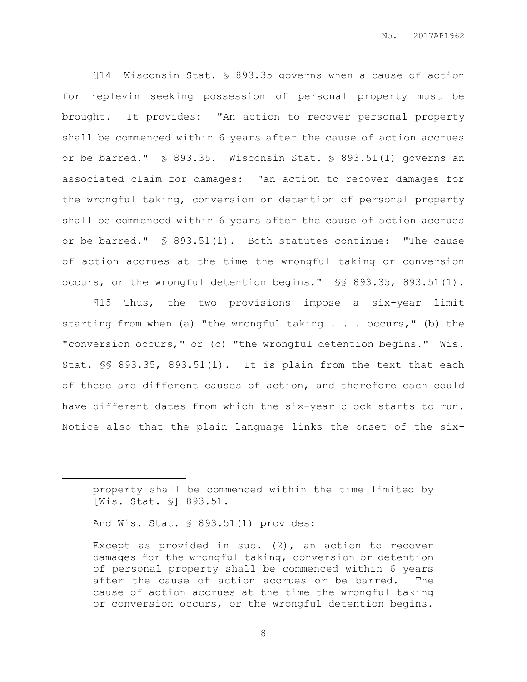¶14 Wisconsin Stat. § 893.35 governs when a cause of action for replevin seeking possession of personal property must be brought. It provides: "An action to recover personal property shall be commenced within 6 years after the cause of action accrues or be barred." § 893.35. Wisconsin Stat. § 893.51(1) governs an associated claim for damages: "an action to recover damages for the wrongful taking, conversion or detention of personal property shall be commenced within 6 years after the cause of action accrues or be barred." § 893.51(1). Both statutes continue: "The cause of action accrues at the time the wrongful taking or conversion occurs, or the wrongful detention begins." §§ 893.35, 893.51(1).

¶15 Thus, the two provisions impose a six-year limit starting from when (a) "the wrongful taking . . . occurs," (b) the "conversion occurs," or (c) "the wrongful detention begins." Wis. Stat. §§ 893.35, 893.51(1). It is plain from the text that each of these are different causes of action, and therefore each could have different dates from which the six-year clock starts to run. Notice also that the plain language links the onset of the six-

 $\overline{a}$ 

property shall be commenced within the time limited by [Wis. Stat. §] 893.51.

And Wis. Stat. § 893.51(1) provides:

Except as provided in sub. (2), an action to recover damages for the wrongful taking, conversion or detention of personal property shall be commenced within 6 years after the cause of action accrues or be barred. The cause of action accrues at the time the wrongful taking or conversion occurs, or the wrongful detention begins.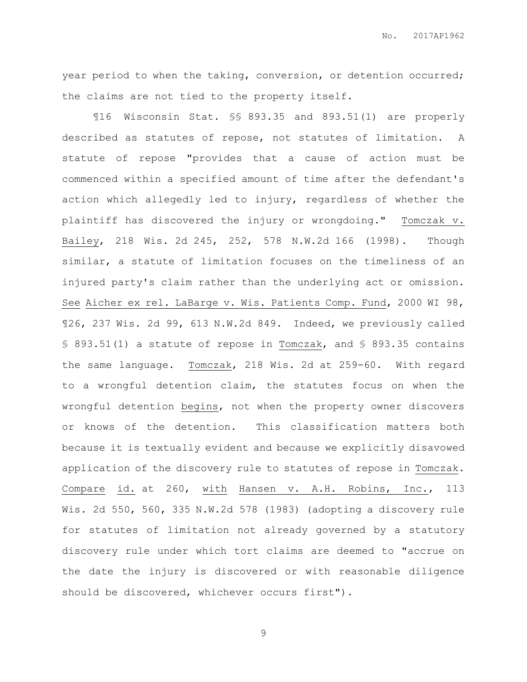No. 2017AP1962

year period to when the taking, conversion, or detention occurred; the claims are not tied to the property itself.

¶16 Wisconsin Stat. §§ 893.35 and 893.51(1) are properly described as statutes of repose, not statutes of limitation. A statute of repose "provides that a cause of action must be commenced within a specified amount of time after the defendant's action which allegedly led to injury, regardless of whether the plaintiff has discovered the injury or wrongdoing." Tomczak v. Bailey, 218 Wis. 2d 245, 252, 578 N.W.2d 166 (1998). Though similar, a statute of limitation focuses on the timeliness of an injured party's claim rather than the underlying act or omission. See Aicher ex rel. LaBarge v. Wis. Patients Comp. Fund, 2000 WI 98, ¶26, 237 Wis. 2d 99, 613 N.W.2d 849. Indeed, we previously called § 893.51(1) a statute of repose in Tomczak, and § 893.35 contains the same language. Tomczak, 218 Wis. 2d at 259-60. With regard to a wrongful detention claim, the statutes focus on when the wrongful detention begins, not when the property owner discovers or knows of the detention. This classification matters both because it is textually evident and because we explicitly disavowed application of the discovery rule to statutes of repose in Tomczak. Compare id. at 260, with Hansen v. A.H. Robins, Inc., 113 Wis. 2d 550, 560, 335 N.W.2d 578 (1983) (adopting a discovery rule for statutes of limitation not already governed by a statutory discovery rule under which tort claims are deemed to "accrue on the date the injury is discovered or with reasonable diligence should be discovered, whichever occurs first").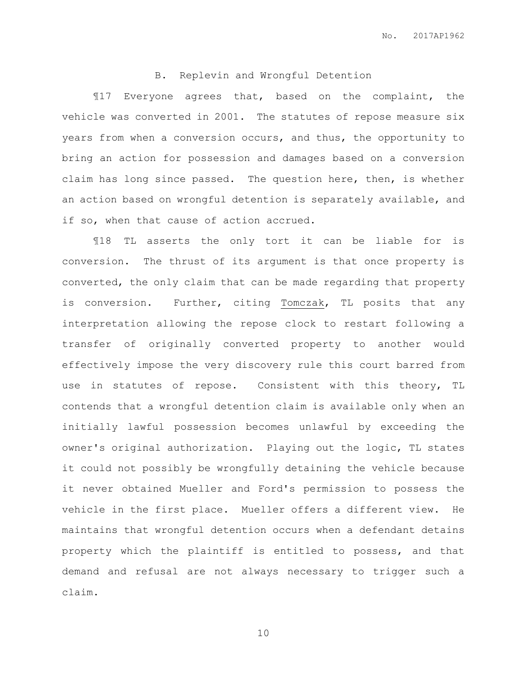# B. Replevin and Wrongful Detention

¶17 Everyone agrees that, based on the complaint, the vehicle was converted in 2001. The statutes of repose measure six years from when a conversion occurs, and thus, the opportunity to bring an action for possession and damages based on a conversion claim has long since passed. The question here, then, is whether an action based on wrongful detention is separately available, and if so, when that cause of action accrued.

¶18 TL asserts the only tort it can be liable for is conversion. The thrust of its argument is that once property is converted, the only claim that can be made regarding that property is conversion. Further, citing Tomczak, TL posits that any interpretation allowing the repose clock to restart following a transfer of originally converted property to another would effectively impose the very discovery rule this court barred from use in statutes of repose. Consistent with this theory, TL contends that a wrongful detention claim is available only when an initially lawful possession becomes unlawful by exceeding the owner's original authorization. Playing out the logic, TL states it could not possibly be wrongfully detaining the vehicle because it never obtained Mueller and Ford's permission to possess the vehicle in the first place. Mueller offers a different view. He maintains that wrongful detention occurs when a defendant detains property which the plaintiff is entitled to possess, and that demand and refusal are not always necessary to trigger such a claim.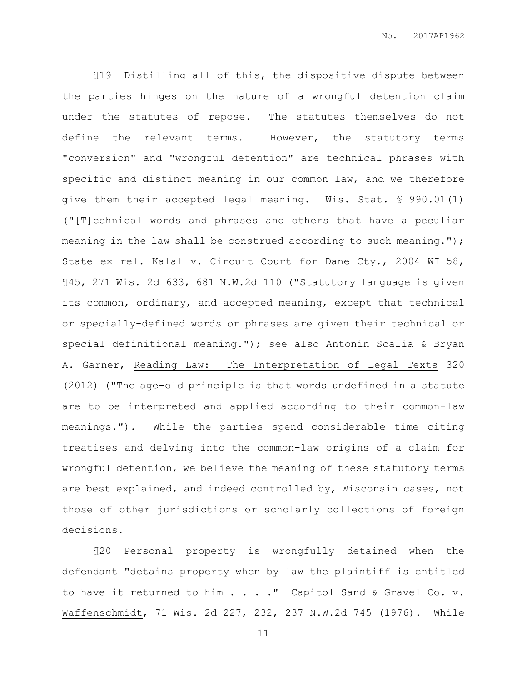¶19 Distilling all of this, the dispositive dispute between the parties hinges on the nature of a wrongful detention claim under the statutes of repose. The statutes themselves do not define the relevant terms. However, the statutory terms "conversion" and "wrongful detention" are technical phrases with specific and distinct meaning in our common law, and we therefore give them their accepted legal meaning. Wis. Stat. § 990.01(1) ("[T]echnical words and phrases and others that have a peculiar meaning in the law shall be construed according to such meaning."); State ex rel. Kalal v. Circuit Court for Dane Cty., 2004 WI 58, ¶45, 271 Wis. 2d 633, 681 N.W.2d 110 ("Statutory language is given its common, ordinary, and accepted meaning, except that technical or specially-defined words or phrases are given their technical or special definitional meaning."); see also Antonin Scalia & Bryan A. Garner, Reading Law: The Interpretation of Legal Texts 320 (2012) ("The age-old principle is that words undefined in a statute are to be interpreted and applied according to their common-law meanings."). While the parties spend considerable time citing treatises and delving into the common-law origins of a claim for wrongful detention, we believe the meaning of these statutory terms are best explained, and indeed controlled by, Wisconsin cases, not those of other jurisdictions or scholarly collections of foreign decisions.

¶20 Personal property is wrongfully detained when the defendant "detains property when by law the plaintiff is entitled to have it returned to him . . . . " Capitol Sand & Gravel Co. v. Waffenschmidt, 71 Wis. 2d 227, 232, 237 N.W.2d 745 (1976). While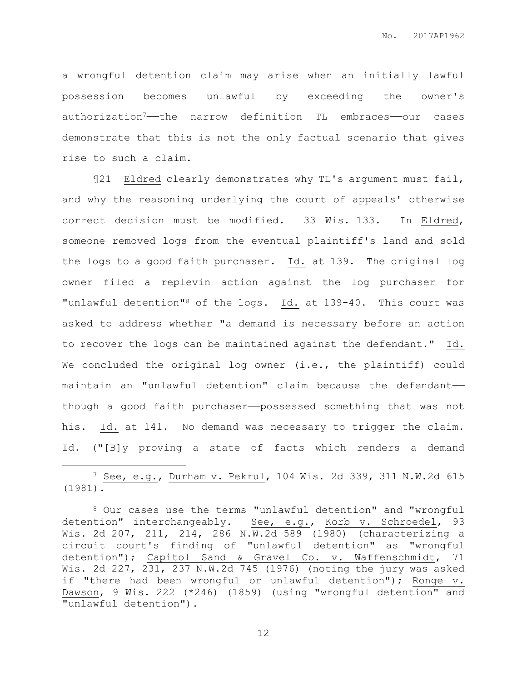a wrongful detention claim may arise when an initially lawful possession becomes unlawful by exceeding the owner's authorization7——the narrow definition TL embraces——our cases demonstrate that this is not the only factual scenario that gives rise to such a claim.

¶21 Eldred clearly demonstrates why TL's argument must fail, and why the reasoning underlying the court of appeals' otherwise correct decision must be modified. 33 Wis. 133. In Eldred, someone removed logs from the eventual plaintiff's land and sold the logs to a good faith purchaser. Id. at 139. The original log owner filed a replevin action against the log purchaser for "unlawful detention"8 of the logs. Id. at 139-40. This court was asked to address whether "a demand is necessary before an action to recover the logs can be maintained against the defendant." Id. We concluded the original log owner (i.e., the plaintiff) could maintain an "unlawful detention" claim because the defendant— though a good faith purchaser—possessed something that was not his. Id. at 141. No demand was necessary to trigger the claim. Id. ("[B]y proving a state of facts which renders a demand

<sup>7</sup> See, e.g., Durham v. Pekrul, 104 Wis. 2d 339, 311 N.W.2d 615 (1981).

 $\overline{a}$ 

<sup>8</sup> Our cases use the terms "unlawful detention" and "wrongful detention" interchangeably. See, e.g., Korb v. Schroedel, 93 Wis. 2d 207, 211, 214, 286 N.W.2d 589 (1980) (characterizing a circuit court's finding of "unlawful detention" as "wrongful detention"); Capitol Sand & Gravel Co. v. Waffenschmidt, 71 Wis. 2d 227, 231, 237 N.W.2d 745 (1976) (noting the jury was asked if "there had been wrongful or unlawful detention"); Ronge v. Dawson, 9 Wis. 222 (\*246) (1859) (using "wrongful detention" and "unlawful detention").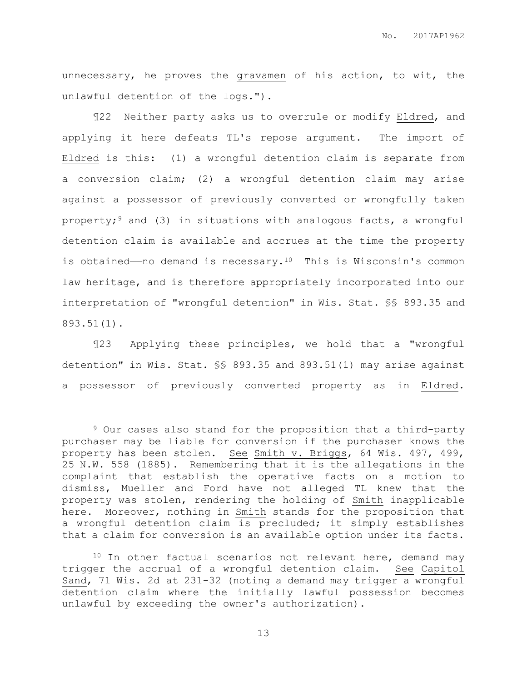unnecessary, he proves the gravamen of his action, to wit, the unlawful detention of the logs.").

¶22 Neither party asks us to overrule or modify Eldred, and applying it here defeats TL's repose argument. The import of Eldred is this: (1) a wrongful detention claim is separate from a conversion claim; (2) a wrongful detention claim may arise against a possessor of previously converted or wrongfully taken property;<sup>9</sup> and (3) in situations with analogous facts, a wrongful detention claim is available and accrues at the time the property is obtained—no demand is necessary.<sup>10</sup> This is Wisconsin's common law heritage, and is therefore appropriately incorporated into our interpretation of "wrongful detention" in Wis. Stat. §§ 893.35 and 893.51(1).

¶23 Applying these principles, we hold that a "wrongful detention" in Wis. Stat. §§ 893.35 and 893.51(1) may arise against a possessor of previously converted property as in Eldred.

 $\overline{a}$ 

<sup>9</sup> Our cases also stand for the proposition that a third-party purchaser may be liable for conversion if the purchaser knows the property has been stolen. See Smith v. Briggs, 64 Wis. 497, 499, 25 N.W. 558 (1885). Remembering that it is the allegations in the complaint that establish the operative facts on a motion to dismiss, Mueller and Ford have not alleged TL knew that the property was stolen, rendering the holding of Smith inapplicable here. Moreover, nothing in Smith stands for the proposition that a wrongful detention claim is precluded; it simply establishes that a claim for conversion is an available option under its facts.

<sup>&</sup>lt;sup>10</sup> In other factual scenarios not relevant here, demand may trigger the accrual of a wrongful detention claim. See Capitol Sand, 71 Wis. 2d at 231-32 (noting a demand may trigger a wrongful detention claim where the initially lawful possession becomes unlawful by exceeding the owner's authorization).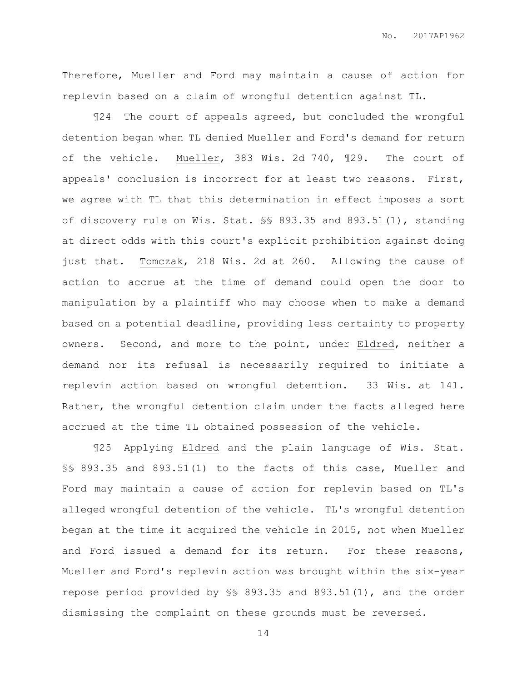Therefore, Mueller and Ford may maintain a cause of action for replevin based on a claim of wrongful detention against TL.

¶24 The court of appeals agreed, but concluded the wrongful detention began when TL denied Mueller and Ford's demand for return of the vehicle. Mueller, 383 Wis. 2d 740, ¶29. The court of appeals' conclusion is incorrect for at least two reasons. First, we agree with TL that this determination in effect imposes a sort of discovery rule on Wis. Stat. §§ 893.35 and 893.51(1), standing at direct odds with this court's explicit prohibition against doing just that. Tomczak, 218 Wis. 2d at 260. Allowing the cause of action to accrue at the time of demand could open the door to manipulation by a plaintiff who may choose when to make a demand based on a potential deadline, providing less certainty to property owners. Second, and more to the point, under Eldred, neither a demand nor its refusal is necessarily required to initiate a replevin action based on wrongful detention. 33 Wis. at 141. Rather, the wrongful detention claim under the facts alleged here accrued at the time TL obtained possession of the vehicle.

¶25 Applying Eldred and the plain language of Wis. Stat. §§ 893.35 and 893.51(1) to the facts of this case, Mueller and Ford may maintain a cause of action for replevin based on TL's alleged wrongful detention of the vehicle. TL's wrongful detention began at the time it acquired the vehicle in 2015, not when Mueller and Ford issued a demand for its return. For these reasons, Mueller and Ford's replevin action was brought within the six-year repose period provided by §§ 893.35 and 893.51(1), and the order dismissing the complaint on these grounds must be reversed.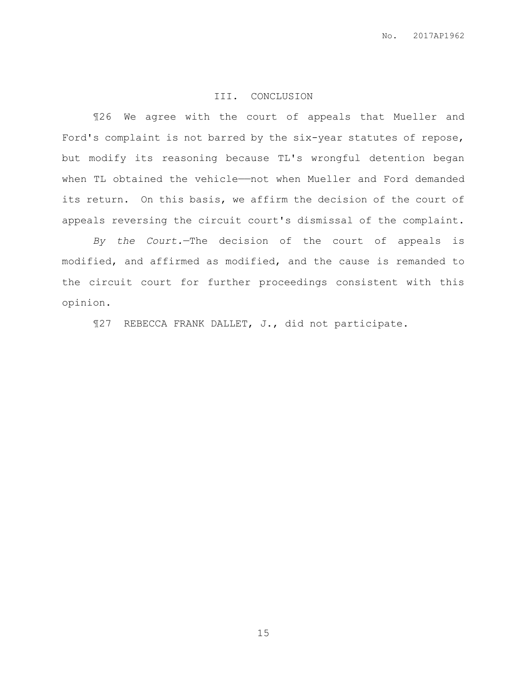## III. CONCLUSION

¶26 We agree with the court of appeals that Mueller and Ford's complaint is not barred by the six-year statutes of repose, but modify its reasoning because TL's wrongful detention began when TL obtained the vehicle——not when Mueller and Ford demanded its return. On this basis, we affirm the decision of the court of appeals reversing the circuit court's dismissal of the complaint.

*By the Court.*—The decision of the court of appeals is modified, and affirmed as modified, and the cause is remanded to the circuit court for further proceedings consistent with this opinion.

¶27 REBECCA FRANK DALLET, J., did not participate.